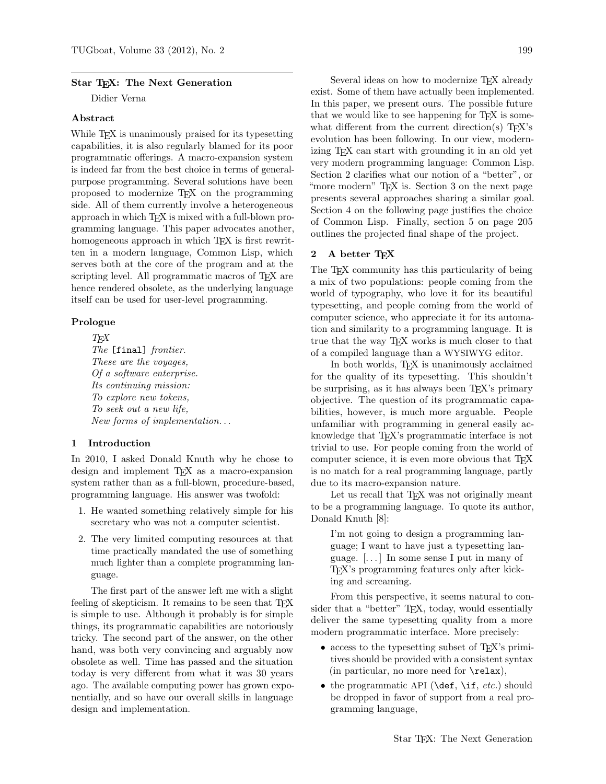### Star TFX: The Next Generation

Didier Verna

### Abstract

While T<sub>E</sub>X is unanimously praised for its typesetting capabilities, it is also regularly blamed for its poor programmatic offerings. A macro-expansion system is indeed far from the best choice in terms of generalpurpose programming. Several solutions have been proposed to modernize TEX on the programming side. All of them currently involve a heterogeneous approach in which TEX is mixed with a full-blown programming language. This paper advocates another, homogeneous approach in which T<sub>EX</sub> is first rewritten in a modern language, Common Lisp, which serves both at the core of the program and at the scripting level. All programmatic macros of T<sub>E</sub>X are hence rendered obsolete, as the underlying language itself can be used for user-level programming.

## Prologue

**TFX** The [final] frontier. These are the voyages, Of a software enterprise. Its continuing mission: To explore new tokens, To seek out a new life, New forms of implementation. . .

## 1 Introduction

In 2010, I asked Donald Knuth why he chose to design and implement T<sub>EX</sub> as a macro-expansion system rather than as a full-blown, procedure-based, programming language. His answer was twofold:

- 1. He wanted something relatively simple for his secretary who was not a computer scientist.
- 2. The very limited computing resources at that time practically mandated the use of something much lighter than a complete programming language.

The first part of the answer left me with a slight feeling of skepticism. It remains to be seen that TEX is simple to use. Although it probably is for simple things, its programmatic capabilities are notoriously tricky. The second part of the answer, on the other hand, was both very convincing and arguably now obsolete as well. Time has passed and the situation today is very different from what it was 30 years ago. The available computing power has grown exponentially, and so have our overall skills in language design and implementation.

Several ideas on how to modernize TFX already exist. Some of them have actually been implemented. In this paper, we present ours. The possible future that we would like to see happening for TEX is somewhat different from the current direction(s)  $T_{F}X$ 's evolution has been following. In our view, modernizing TEX can start with grounding it in an old yet very modern programming language: Common Lisp. Section 2 clarifies what our notion of a "better", or "more modern" T<sub>EX</sub> is. Section 3 on the next page presents several approaches sharing a similar goal. Section 4 on the following page justifies the choice of Common Lisp. Finally, section 5 on page 205 outlines the projected final shape of the project.

# 2 A better TEX

The T<sub>EX</sub> community has this particularity of being a mix of two populations: people coming from the world of typography, who love it for its beautiful typesetting, and people coming from the world of computer science, who appreciate it for its automation and similarity to a programming language. It is true that the way TEX works is much closer to that of a compiled language than a WYSIWYG editor.

In both worlds, TEX is unanimously acclaimed for the quality of its typesetting. This shouldn't be surprising, as it has always been T<sub>EX</sub>'s primary objective. The question of its programmatic capabilities, however, is much more arguable. People unfamiliar with programming in general easily acknowledge that T<sub>EX</sub>'s programmatic interface is not trivial to use. For people coming from the world of computer science, it is even more obvious that T<sub>EX</sub> is no match for a real programming language, partly due to its macro-expansion nature.

Let us recall that TEX was not originally meant to be a programming language. To quote its author, Donald Knuth [8]:

I'm not going to design a programming language; I want to have just a typesetting language. [. . . ] In some sense I put in many of TEX's programming features only after kicking and screaming.

From this perspective, it seems natural to consider that a "better" TFX, today, would essentially deliver the same typesetting quality from a more modern programmatic interface. More precisely:

- access to the typesetting subset of T<sub>EX</sub>'s primitives should be provided with a consistent syntax (in particular, no more need for  $\relaxrightarrow$ ),
- the programmatic API ( $\det$ ,  $\inf$ ,  $etc$ .) should be dropped in favor of support from a real programming language,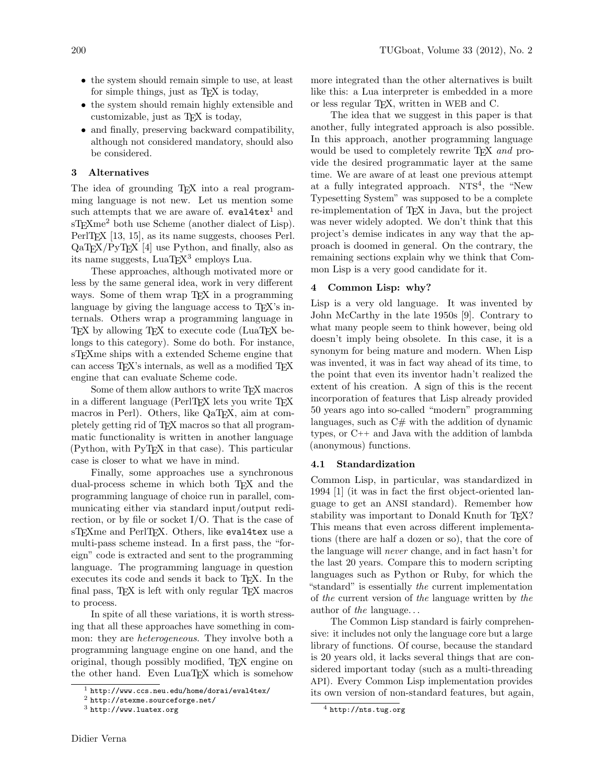- the system should remain simple to use, at least for simple things, just as TEX is today,
- the system should remain highly extensible and customizable, just as TEX is today,
- and finally, preserving backward compatibility, although not considered mandatory, should also be considered.

## 3 Alternatives

The idea of grounding T<sub>E</sub>X into a real programming language is not new. Let us mention some such attempts that we are aware of.  $eval4textrm{tex}^1$  and sT<sub>E</sub>Xme<sup>2</sup> both use Scheme (another dialect of Lisp). PerlT<sub>EX</sub> [13, 15], as its name suggests, chooses Perl.  $QaTFX/PvTFX$  [4] use Python, and finally, also as its name suggests,  $\text{LuaT} \underline{F} \text{X}^3$  employs  $\text{Lua}$ .

These approaches, although motivated more or less by the same general idea, work in very different ways. Some of them wrap T<sub>F</sub>X in a programming language by giving the language access to T<sub>E</sub>X's internals. Others wrap a programming language in TEX by allowing TEX to execute code (LuaTEX belongs to this category). Some do both. For instance, sTEXme ships with a extended Scheme engine that can access T<sub>F</sub>X's internals, as well as a modified T<sub>F</sub>X engine that can evaluate Scheme code.

Some of them allow authors to write T<sub>EX</sub> macros in a different language (PerlT<sub>EX</sub> lets you write T<sub>EX</sub> macros in Perl). Others, like QaT<sub>E</sub>X, aim at completely getting rid of TEX macros so that all programmatic functionality is written in another language (Python, with PyTEX in that case). This particular case is closer to what we have in mind.

Finally, some approaches use a synchronous dual-process scheme in which both TEX and the programming language of choice run in parallel, communicating either via standard input/output redirection, or by file or socket I/O. That is the case of sT<sub>F</sub>Xme and PerlT<sub>F</sub>X. Others, like eval4tex use a multi-pass scheme instead. In a first pass, the "foreign" code is extracted and sent to the programming language. The programming language in question executes its code and sends it back to T<sub>E</sub>X. In the final pass, T<sub>E</sub>X is left with only regular T<sub>E</sub>X macros to process.

In spite of all these variations, it is worth stressing that all these approaches have something in common: they are *heterogeneous*. They involve both a programming language engine on one hand, and the original, though possibly modified, TEX engine on the other hand. Even LuaT<sub>F</sub>X which is somehow

more integrated than the other alternatives is built like this: a Lua interpreter is embedded in a more or less regular TEX, written in WEB and C.

The idea that we suggest in this paper is that another, fully integrated approach is also possible. In this approach, another programming language would be used to completely rewrite T<sub>EX</sub> and provide the desired programmatic layer at the same time. We are aware of at least one previous attempt at a fully integrated approach.  $NTS<sup>4</sup>$ , the "New Typesetting System" was supposed to be a complete re-implementation of TEX in Java, but the project was never widely adopted. We don't think that this project's demise indicates in any way that the approach is doomed in general. On the contrary, the remaining sections explain why we think that Common Lisp is a very good candidate for it.

# 4 Common Lisp: why?

Lisp is a very old language. It was invented by John McCarthy in the late 1950s [9]. Contrary to what many people seem to think however, being old doesn't imply being obsolete. In this case, it is a synonym for being mature and modern. When Lisp was invented, it was in fact way ahead of its time, to the point that even its inventor hadn't realized the extent of his creation. A sign of this is the recent incorporation of features that Lisp already provided 50 years ago into so-called "modern" programming languages, such as  $C#$  with the addition of dynamic types, or C++ and Java with the addition of lambda (anonymous) functions.

# 4.1 Standardization

Common Lisp, in particular, was standardized in 1994 [1] (it was in fact the first object-oriented language to get an ANSI standard). Remember how stability was important to Donald Knuth for T<sub>F</sub>X? This means that even across different implementations (there are half a dozen or so), that the core of the language will never change, and in fact hasn't for the last 20 years. Compare this to modern scripting languages such as Python or Ruby, for which the "standard" is essentially the current implementation of the current version of the language written by the author of the language. . .

The Common Lisp standard is fairly comprehensive: it includes not only the language core but a large library of functions. Of course, because the standard is 20 years old, it lacks several things that are considered important today (such as a multi-threading API). Every Common Lisp implementation provides its own version of non-standard features, but again,

 $1$  http://www.ccs.neu.edu/home/dorai/eval4tex/

<sup>2</sup> http://stexme.sourceforge.net/

<sup>3</sup> http://www.luatex.org

<sup>4</sup> http://nts.tug.org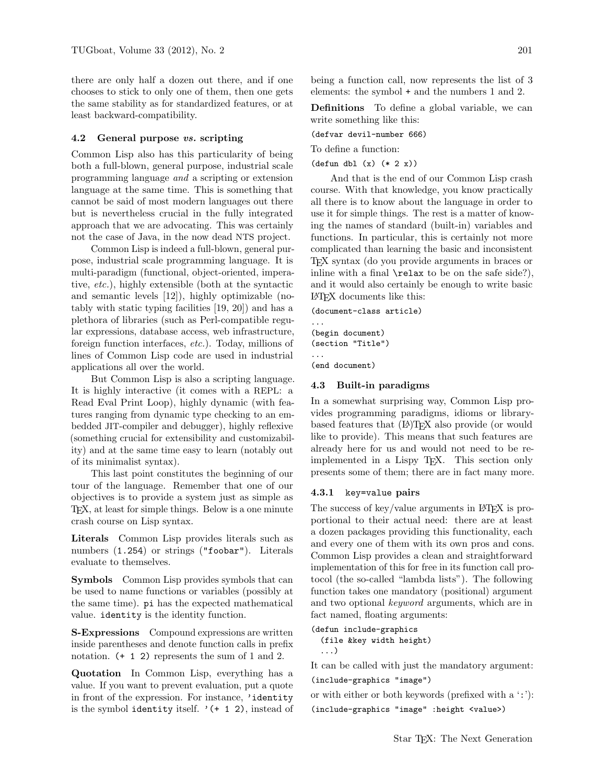there are only half a dozen out there, and if one chooses to stick to only one of them, then one gets the same stability as for standardized features, or at least backward-compatibility.

#### 4.2 General purpose vs. scripting

Common Lisp also has this particularity of being both a full-blown, general purpose, industrial scale programming language and a scripting or extension language at the same time. This is something that cannot be said of most modern languages out there but is nevertheless crucial in the fully integrated approach that we are advocating. This was certainly not the case of Java, in the now dead NTS project.

Common Lisp is indeed a full-blown, general purpose, industrial scale programming language. It is multi-paradigm (functional, object-oriented, imperative, etc.), highly extensible (both at the syntactic and semantic levels [12]), highly optimizable (notably with static typing facilities [19, 20]) and has a plethora of libraries (such as Perl-compatible regular expressions, database access, web infrastructure, foreign function interfaces, etc.). Today, millions of lines of Common Lisp code are used in industrial applications all over the world.

But Common Lisp is also a scripting language. It is highly interactive (it comes with a REPL: a Read Eval Print Loop), highly dynamic (with features ranging from dynamic type checking to an embedded JIT-compiler and debugger), highly reflexive (something crucial for extensibility and customizability) and at the same time easy to learn (notably out of its minimalist syntax).

This last point constitutes the beginning of our tour of the language. Remember that one of our objectives is to provide a system just as simple as TEX, at least for simple things. Below is a one minute crash course on Lisp syntax.

Literals Common Lisp provides literals such as numbers  $(1.254)$  or strings ("foobar"). Literals evaluate to themselves.

Symbols Common Lisp provides symbols that can be used to name functions or variables (possibly at the same time). pi has the expected mathematical value. identity is the identity function.

S-Expressions Compound expressions are written inside parentheses and denote function calls in prefix notation. (+ 1 2) represents the sum of 1 and 2.

Quotation In Common Lisp, everything has a value. If you want to prevent evaluation, put a quote in front of the expression. For instance, 'identity is the symbol identity itself.  $'(+ 1 2)$ , instead of being a function call, now represents the list of 3 elements: the symbol + and the numbers 1 and 2.

Definitions To define a global variable, we can write something like this:

(defvar devil-number 666)

To define a function:

(defun dbl (x) (\* 2 x))

And that is the end of our Common Lisp crash course. With that knowledge, you know practically all there is to know about the language in order to use it for simple things. The rest is a matter of knowing the names of standard (built-in) variables and functions. In particular, this is certainly not more complicated than learning the basic and inconsistent TEX syntax (do you provide arguments in braces or inline with a final  $\text{relax}$  to be on the safe side?), and it would also certainly be enough to write basic LATEX documents like this:

(document-class article) ... (begin document) (section "Title") ... (end document)

### 4.3 Built-in paradigms

In a somewhat surprising way, Common Lisp provides programming paradigms, idioms or librarybased features that (IA)TEX also provide (or would like to provide). This means that such features are already here for us and would not need to be reimplemented in a Lispy TEX. This section only presents some of them; there are in fact many more.

#### 4.3.1 key=value pairs

The success of key/value arguments in LAT<sub>EX</sub> is proportional to their actual need: there are at least a dozen packages providing this functionality, each and every one of them with its own pros and cons. Common Lisp provides a clean and straightforward implementation of this for free in its function call protocol (the so-called "lambda lists"). The following function takes one mandatory (positional) argument and two optional keyword arguments, which are in fact named, floating arguments:

(defun include-graphics (file &key width height) ...)

It can be called with just the mandatory argument: (include-graphics "image")

or with either or both keywords (prefixed with a ':'): (include-graphics "image" :height <value>)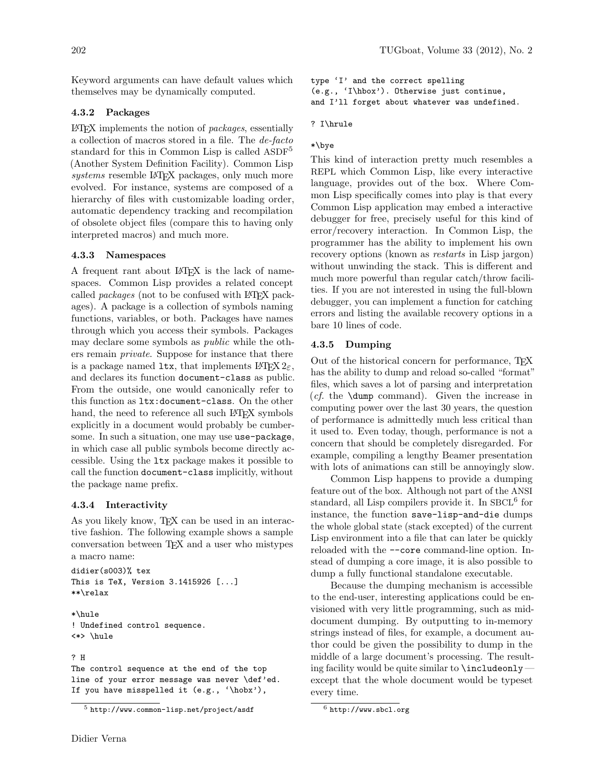Keyword arguments can have default values which themselves may be dynamically computed.

# 4.3.2 Packages

LATEX implements the notion of packages, essentially a collection of macros stored in a file. The de-facto standard for this in Common Lisp is called ASDF<sup>5</sup> (Another System Definition Facility). Common Lisp systems resemble LAT<sub>EX</sub> packages, only much more evolved. For instance, systems are composed of a hierarchy of files with customizable loading order, automatic dependency tracking and recompilation of obsolete object files (compare this to having only interpreted macros) and much more.

## 4.3.3 Namespaces

A frequent rant about LATEX is the lack of namespaces. Common Lisp provides a related concept called *packages* (not to be confused with LAT<sub>EX</sub> packages). A package is a collection of symbols naming functions, variables, or both. Packages have names through which you access their symbols. Packages may declare some symbols as public while the others remain private. Suppose for instance that there is a package named ltx, that implements  $\mathbb{F} \mathbb{F} \times \mathbb{Z}_{\epsilon}$ , and declares its function document-class as public. From the outside, one would canonically refer to this function as ltx:document-class. On the other hand, the need to reference all such LAT<sub>EX</sub> symbols explicitly in a document would probably be cumbersome. In such a situation, one may use use-package, in which case all public symbols become directly accessible. Using the ltx package makes it possible to call the function document-class implicitly, without the package name prefix.

# 4.3.4 Interactivity

As you likely know, TEX can be used in an interactive fashion. The following example shows a sample conversation between TEX and a user who mistypes a macro name:

```
didier(s003)% tex
This is TeX, Version 3.1415926 [...]
**\relax
```
\*\hule ! Undefined control sequence. <\*> \hule

### ? H

The control sequence at the end of the top line of your error message was never \def'ed. If you have misspelled it (e.g., '\hobx'),

type 'I' and the correct spelling (e.g., 'I\hbox'). Otherwise just continue, and I'll forget about whatever was undefined.

## ? I\hrule

# \*\bye

This kind of interaction pretty much resembles a REPL which Common Lisp, like every interactive language, provides out of the box. Where Common Lisp specifically comes into play is that every Common Lisp application may embed a interactive debugger for free, precisely useful for this kind of error/recovery interaction. In Common Lisp, the programmer has the ability to implement his own recovery options (known as *restarts* in Lisp jargon) without unwinding the stack. This is different and much more powerful than regular catch/throw facilities. If you are not interested in using the full-blown debugger, you can implement a function for catching errors and listing the available recovery options in a bare 10 lines of code.

## 4.3.5 Dumping

Out of the historical concern for performance, TFX has the ability to dump and reload so-called "format" files, which saves a lot of parsing and interpretation (cf. the \dump command). Given the increase in computing power over the last 30 years, the question of performance is admittedly much less critical than it used to. Even today, though, performance is not a concern that should be completely disregarded. For example, compiling a lengthy Beamer presentation with lots of animations can still be annoyingly slow.

Common Lisp happens to provide a dumping feature out of the box. Although not part of the ANSI standard, all Lisp compilers provide it. In SBCL<sup>6</sup> for instance, the function save-lisp-and-die dumps the whole global state (stack excepted) of the current Lisp environment into a file that can later be quickly reloaded with the --core command-line option. Instead of dumping a core image, it is also possible to dump a fully functional standalone executable.

Because the dumping mechanism is accessible to the end-user, interesting applications could be envisioned with very little programming, such as middocument dumping. By outputting to in-memory strings instead of files, for example, a document author could be given the possibility to dump in the middle of a large document's processing. The resulting facility would be quite similar to \includeonly except that the whole document would be typeset every time.

 $5$  http://www.common-lisp.net/project/asdf

 $6$  http://www.sbcl.org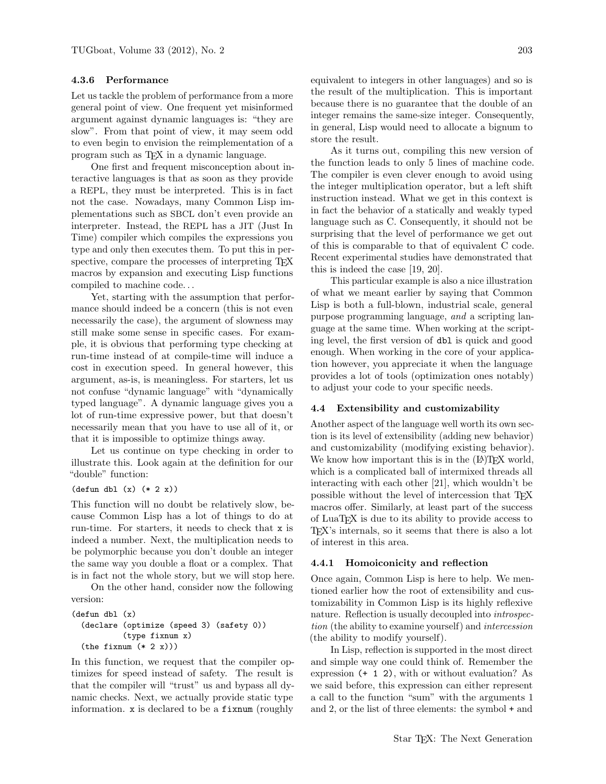# 4.3.6 Performance

Let us tackle the problem of performance from a more general point of view. One frequent yet misinformed argument against dynamic languages is: "they are slow". From that point of view, it may seem odd to even begin to envision the reimplementation of a program such as TEX in a dynamic language.

One first and frequent misconception about interactive languages is that as soon as they provide a REPL, they must be interpreted. This is in fact not the case. Nowadays, many Common Lisp implementations such as SBCL don't even provide an interpreter. Instead, the REPL has a JIT (Just In Time) compiler which compiles the expressions you type and only then executes them. To put this in perspective, compare the processes of interpreting T<sub>E</sub>X macros by expansion and executing Lisp functions compiled to machine code. . .

Yet, starting with the assumption that performance should indeed be a concern (this is not even necessarily the case), the argument of slowness may still make some sense in specific cases. For example, it is obvious that performing type checking at run-time instead of at compile-time will induce a cost in execution speed. In general however, this argument, as-is, is meaningless. For starters, let us not confuse "dynamic language" with "dynamically typed language". A dynamic language gives you a lot of run-time expressive power, but that doesn't necessarily mean that you have to use all of it, or that it is impossible to optimize things away.

Let us continue on type checking in order to illustrate this. Look again at the definition for our "double" function:

### (defun dbl (x) (\* 2 x))

This function will no doubt be relatively slow, because Common Lisp has a lot of things to do at run-time. For starters, it needs to check that x is indeed a number. Next, the multiplication needs to be polymorphic because you don't double an integer the same way you double a float or a complex. That is in fact not the whole story, but we will stop here.

On the other hand, consider now the following version:

```
(defun dbl (x)
 (declare (optimize (speed 3) (safety 0))
           (type fixnum x)
 (the fixnum (* 2 x)))
```
In this function, we request that the compiler optimizes for speed instead of safety. The result is that the compiler will "trust" us and bypass all dynamic checks. Next, we actually provide static type information. x is declared to be a fixnum (roughly

equivalent to integers in other languages) and so is the result of the multiplication. This is important because there is no guarantee that the double of an integer remains the same-size integer. Consequently, in general, Lisp would need to allocate a bignum to store the result.

As it turns out, compiling this new version of the function leads to only 5 lines of machine code. The compiler is even clever enough to avoid using the integer multiplication operator, but a left shift instruction instead. What we get in this context is in fact the behavior of a statically and weakly typed language such as C. Consequently, it should not be surprising that the level of performance we get out of this is comparable to that of equivalent C code. Recent experimental studies have demonstrated that this is indeed the case [19, 20].

This particular example is also a nice illustration of what we meant earlier by saying that Common Lisp is both a full-blown, industrial scale, general purpose programming language, and a scripting language at the same time. When working at the scripting level, the first version of dbl is quick and good enough. When working in the core of your application however, you appreciate it when the language provides a lot of tools (optimization ones notably) to adjust your code to your specific needs.

# 4.4 Extensibility and customizability

Another aspect of the language well worth its own section is its level of extensibility (adding new behavior) and customizability (modifying existing behavior). We know how important this is in the  $(E)$ T<sub>EX</sub> world, which is a complicated ball of intermixed threads all interacting with each other [21], which wouldn't be possible without the level of intercession that TEX macros offer. Similarly, at least part of the success of LuaTEX is due to its ability to provide access to TEX's internals, so it seems that there is also a lot of interest in this area.

#### 4.4.1 Homoiconicity and reflection

Once again, Common Lisp is here to help. We mentioned earlier how the root of extensibility and customizability in Common Lisp is its highly reflexive nature. Reflection is usually decoupled into *introspec*tion (the ability to examine yourself) and intercession (the ability to modify yourself).

In Lisp, reflection is supported in the most direct and simple way one could think of. Remember the expression (+ 1 2), with or without evaluation? As we said before, this expression can either represent a call to the function "sum" with the arguments 1 and 2, or the list of three elements: the symbol + and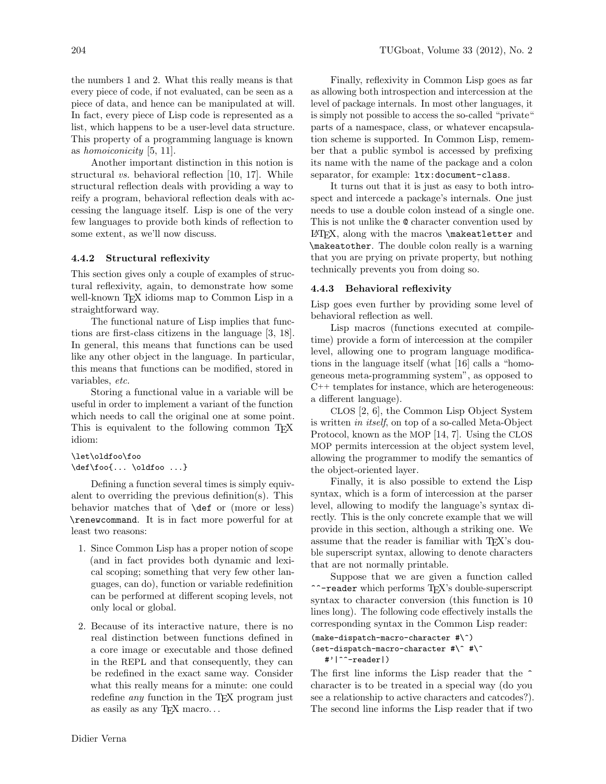the numbers 1 and 2. What this really means is that every piece of code, if not evaluated, can be seen as a piece of data, and hence can be manipulated at will. In fact, every piece of Lisp code is represented as a list, which happens to be a user-level data structure. This property of a programming language is known as homoiconicity [5, 11].

Another important distinction in this notion is structural vs. behavioral reflection [10, 17]. While structural reflection deals with providing a way to reify a program, behavioral reflection deals with accessing the language itself. Lisp is one of the very few languages to provide both kinds of reflection to some extent, as we'll now discuss.

# 4.4.2 Structural reflexivity

This section gives only a couple of examples of structural reflexivity, again, to demonstrate how some well-known TFX idioms map to Common Lisp in a straightforward way.

The functional nature of Lisp implies that functions are first-class citizens in the language [3, 18]. In general, this means that functions can be used like any other object in the language. In particular, this means that functions can be modified, stored in variables, etc.

Storing a functional value in a variable will be useful in order to implement a variant of the function which needs to call the original one at some point. This is equivalent to the following common T<sub>E</sub>X idiom:

```
\let\oldfoo\foo
\def\foo{... \oldfoo ...}
```
Defining a function several times is simply equivalent to overriding the previous definition(s). This behavior matches that of \def or (more or less) \renewcommand. It is in fact more powerful for at least two reasons:

- 1. Since Common Lisp has a proper notion of scope (and in fact provides both dynamic and lexical scoping; something that very few other languages, can do), function or variable redefinition can be performed at different scoping levels, not only local or global.
- 2. Because of its interactive nature, there is no real distinction between functions defined in a core image or executable and those defined in the REPL and that consequently, they can be redefined in the exact same way. Consider what this really means for a minute: one could redefine *any* function in the T<sub>E</sub>X program just as easily as any TEX macro. . .

Finally, reflexivity in Common Lisp goes as far as allowing both introspection and intercession at the level of package internals. In most other languages, it is simply not possible to access the so-called "private" parts of a namespace, class, or whatever encapsulation scheme is supported. In Common Lisp, remember that a public symbol is accessed by prefixing its name with the name of the package and a colon separator, for example: ltx:document-class.

It turns out that it is just as easy to both introspect and intercede a package's internals. One just needs to use a double colon instead of a single one. This is not unlike the @ character convention used by LATEX, along with the macros \makeatletter and \makeatother. The double colon really is a warning that you are prying on private property, but nothing technically prevents you from doing so.

# 4.4.3 Behavioral reflexivity

Lisp goes even further by providing some level of behavioral reflection as well.

Lisp macros (functions executed at compiletime) provide a form of intercession at the compiler level, allowing one to program language modifications in the language itself (what [16] calls a "homogeneous meta-programming system", as opposed to  $C++$  templates for instance, which are heterogeneous: a different language).

CLOS [2, 6], the Common Lisp Object System is written in itself, on top of a so-called Meta-Object Protocol, known as the MOP [14, 7]. Using the CLOS MOP permits intercession at the object system level, allowing the programmer to modify the semantics of the object-oriented layer.

Finally, it is also possible to extend the Lisp syntax, which is a form of intercession at the parser level, allowing to modify the language's syntax directly. This is the only concrete example that we will provide in this section, although a striking one. We assume that the reader is familiar with TEX's double superscript syntax, allowing to denote characters that are not normally printable.

Suppose that we are given a function called ^^-reader which performs TEX's double-superscript syntax to character conversion (this function is 10 lines long). The following code effectively installs the corresponding syntax in the Common Lisp reader:

```
(make-dispatch-macro-character #\^)
(set-dispatch-macro-character #\^ #\^
  #'|^^-reader|)
```
The first line informs the Lisp reader that the  $\hat{ }$ character is to be treated in a special way (do you see a relationship to active characters and catcodes?). The second line informs the Lisp reader that if two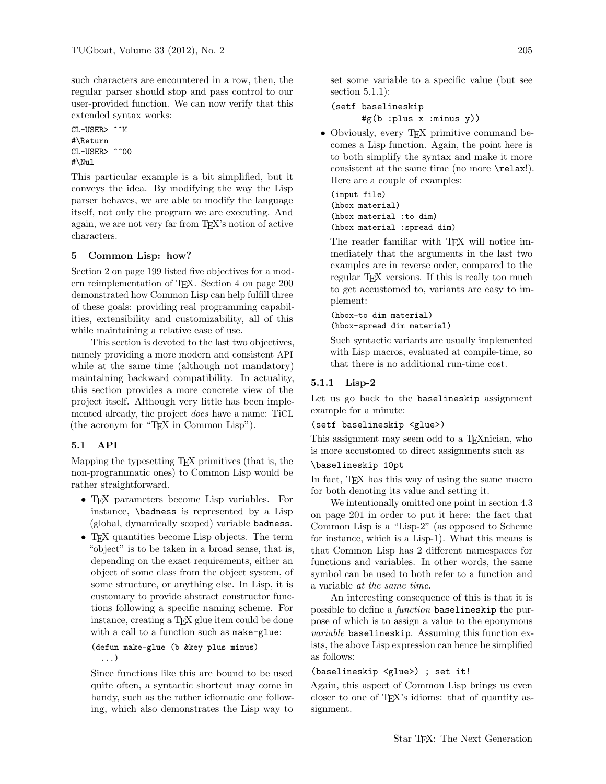such characters are encountered in a row, then, the regular parser should stop and pass control to our user-provided function. We can now verify that this extended syntax works:

CL-USER> ^^M #\Return CL-USER> ^^00 #\Nul

This particular example is a bit simplified, but it conveys the idea. By modifying the way the Lisp parser behaves, we are able to modify the language itself, not only the program we are executing. And again, we are not very far from T<sub>EX</sub>'s notion of active characters.

# 5 Common Lisp: how?

Section 2 on page 199 listed five objectives for a modern reimplementation of TEX. Section 4 on page 200 demonstrated how Common Lisp can help fulfill three of these goals: providing real programming capabilities, extensibility and customizability, all of this while maintaining a relative ease of use.

This section is devoted to the last two objectives, namely providing a more modern and consistent API while at the same time (although not mandatory) maintaining backward compatibility. In actuality, this section provides a more concrete view of the project itself. Although very little has been implemented already, the project does have a name: TiCL (the acronym for "TEX in Common Lisp").

# 5.1 API

Mapping the typesetting TEX primitives (that is, the non-programmatic ones) to Common Lisp would be rather straightforward.

- TEX parameters become Lisp variables. For instance, \badness is represented by a Lisp (global, dynamically scoped) variable badness.
- TEX quantities become Lisp objects. The term "object" is to be taken in a broad sense, that is, depending on the exact requirements, either an object of some class from the object system, of some structure, or anything else. In Lisp, it is customary to provide abstract constructor functions following a specific naming scheme. For instance, creating a T<sub>E</sub>X glue item could be done with a call to a function such as make-glue:

```
(defun make-glue (b &key plus minus)
  ...)
```
Since functions like this are bound to be used quite often, a syntactic shortcut may come in handy, such as the rather idiomatic one following, which also demonstrates the Lisp way to

set some variable to a specific value (but see section 5.1.1):

(setf baselineskip #g(b :plus x :minus y))

• Obviously, every TEX primitive command becomes a Lisp function. Again, the point here is to both simplify the syntax and make it more consistent at the same time (no more \relax!). Here are a couple of examples:

```
(input file)
(hbox material)
(hbox material :to dim)
(hbox material :spread dim)
```
The reader familiar with TEX will notice immediately that the arguments in the last two examples are in reverse order, compared to the regular TEX versions. If this is really too much to get accustomed to, variants are easy to implement:

(hbox-to dim material) (hbox-spread dim material)

Such syntactic variants are usually implemented with Lisp macros, evaluated at compile-time, so that there is no additional run-time cost.

# 5.1.1 Lisp-2

Let us go back to the baselineskip assignment example for a minute:

### (setf baselineskip <glue>)

This assignment may seem odd to a T<sub>E</sub>Xnician, who is more accustomed to direct assignments such as

## \baselineskip 10pt

In fact, T<sub>E</sub>X has this way of using the same macro for both denoting its value and setting it.

We intentionally omitted one point in section 4.3 on page 201 in order to put it here: the fact that Common Lisp is a "Lisp-2" (as opposed to Scheme for instance, which is a Lisp-1). What this means is that Common Lisp has 2 different namespaces for functions and variables. In other words, the same symbol can be used to both refer to a function and a variable at the same time.

An interesting consequence of this is that it is possible to define a *function* baselineskip the purpose of which is to assign a value to the eponymous variable baselineskip. Assuming this function exists, the above Lisp expression can hence be simplified as follows:

### (baselineskip <glue>) ; set it!

Again, this aspect of Common Lisp brings us even closer to one of T<sub>EX</sub>'s idioms: that of quantity assignment.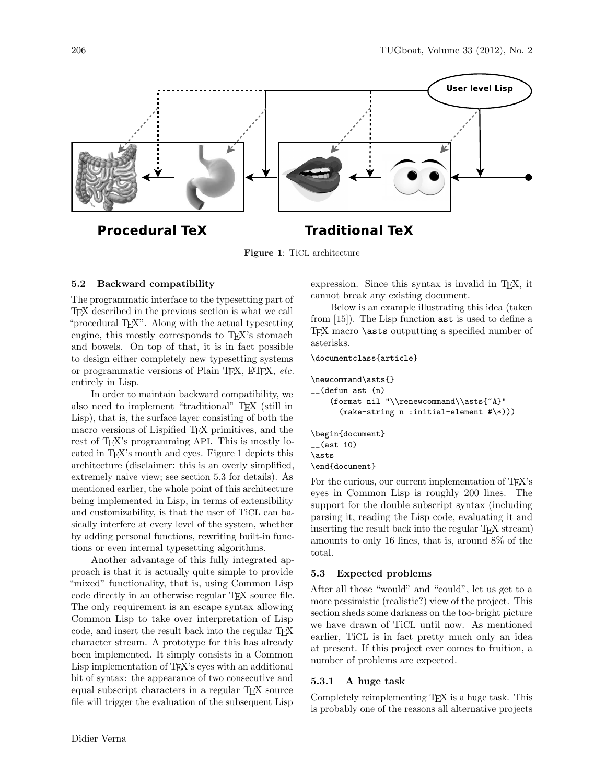

Figure 1: TiCL architecture

## 5.2 Backward compatibility

The programmatic interface to the typesetting part of TEX described in the previous section is what we call "procedural T<sub>EX</sub>". Along with the actual typesetting engine, this mostly corresponds to T<sub>E</sub>X's stomach and bowels. On top of that, it is in fact possible to design either completely new typesetting systems or programmatic versions of Plain T<sub>E</sub>X, L<sup>AT</sup>EX, etc. entirely in Lisp.

In order to maintain backward compatibility, we also need to implement "traditional" TEX (still in Lisp), that is, the surface layer consisting of both the macro versions of Lispified T<sub>E</sub>X primitives, and the rest of TEX's programming API. This is mostly located in TEX's mouth and eyes. Figure 1 depicts this architecture (disclaimer: this is an overly simplified, extremely naive view; see section 5.3 for details). As mentioned earlier, the whole point of this architecture being implemented in Lisp, in terms of extensibility and customizability, is that the user of TiCL can basically interfere at every level of the system, whether by adding personal functions, rewriting built-in functions or even internal typesetting algorithms.

Another advantage of this fully integrated approach is that it is actually quite simple to provide "mixed" functionality, that is, using Common Lisp code directly in an otherwise regular TEX source file. The only requirement is an escape syntax allowing Common Lisp to take over interpretation of Lisp code, and insert the result back into the regular TEX character stream. A prototype for this has already been implemented. It simply consists in a Common Lisp implementation of TEX's eyes with an additional bit of syntax: the appearance of two consecutive and equal subscript characters in a regular TEX source file will trigger the evaluation of the subsequent Lisp

expression. Since this syntax is invalid in T<sub>E</sub>X, it cannot break any existing document.

Below is an example illustrating this idea (taken from [15]). The Lisp function ast is used to define a TEX macro **\asts** outputting a specified number of asterisks.

\documentclass{article}

```
\newcommand\asts{}
__(defun ast (n)
    (format nil "\\renewcommand\\asts{~A}"
      (make-string n :initial-element #\*)))
\begin{document}
__(ast 10)
\asts
```

```
\end{document}
```
For the curious, our current implementation of TFX's eyes in Common Lisp is roughly 200 lines. The support for the double subscript syntax (including parsing it, reading the Lisp code, evaluating it and inserting the result back into the regular TFX stream) amounts to only 16 lines, that is, around 8% of the total.

# 5.3 Expected problems

After all those "would" and "could", let us get to a more pessimistic (realistic?) view of the project. This section sheds some darkness on the too-bright picture we have drawn of TiCL until now. As mentioned earlier, TiCL is in fact pretty much only an idea at present. If this project ever comes to fruition, a number of problems are expected.

### 5.3.1 A huge task

Completely reimplementing T<sub>E</sub>X is a huge task. This is probably one of the reasons all alternative projects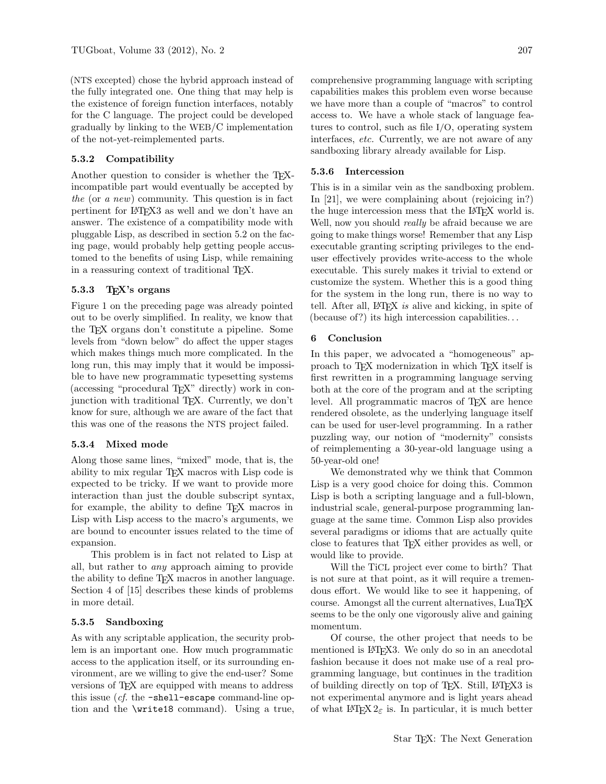(NTS excepted) chose the hybrid approach instead of the fully integrated one. One thing that may help is the existence of foreign function interfaces, notably for the C language. The project could be developed gradually by linking to the WEB/C implementation of the not-yet-reimplemented parts.

# 5.3.2 Compatibility

Another question to consider is whether the TEXincompatible part would eventually be accepted by the (or a new) community. This question is in fact pertinent for LATEX3 as well and we don't have an answer. The existence of a compatibility mode with pluggable Lisp, as described in section 5.2 on the facing page, would probably help getting people accustomed to the benefits of using Lisp, while remaining in a reassuring context of traditional TEX.

## 5.3.3 T<sub>F</sub>X's organs

Figure 1 on the preceding page was already pointed out to be overly simplified. In reality, we know that the TEX organs don't constitute a pipeline. Some levels from "down below" do affect the upper stages which makes things much more complicated. In the long run, this may imply that it would be impossible to have new programmatic typesetting systems (accessing "procedural TEX" directly) work in conjunction with traditional TEX. Currently, we don't know for sure, although we are aware of the fact that this was one of the reasons the NTS project failed.

### 5.3.4 Mixed mode

Along those same lines, "mixed" mode, that is, the ability to mix regular TEX macros with Lisp code is expected to be tricky. If we want to provide more interaction than just the double subscript syntax, for example, the ability to define TEX macros in Lisp with Lisp access to the macro's arguments, we are bound to encounter issues related to the time of expansion.

This problem is in fact not related to Lisp at all, but rather to any approach aiming to provide the ability to define T<sub>E</sub>X macros in another language. Section 4 of [15] describes these kinds of problems in more detail.

# 5.3.5 Sandboxing

As with any scriptable application, the security problem is an important one. How much programmatic access to the application itself, or its surrounding environment, are we willing to give the end-user? Some versions of TEX are equipped with means to address this issue  $(cf.$  the  $\neg$ shell-escape command-line option and the \write18 command). Using a true, comprehensive programming language with scripting capabilities makes this problem even worse because we have more than a couple of "macros" to control access to. We have a whole stack of language features to control, such as file I/O, operating system interfaces, etc. Currently, we are not aware of any sandboxing library already available for Lisp.

### 5.3.6 Intercession

This is in a similar vein as the sandboxing problem. In [21], we were complaining about (rejoicing in?) the huge intercession mess that the LAT<sub>EX</sub> world is. Well, now you should *really* be afraid because we are going to make things worse! Remember that any Lisp executable granting scripting privileges to the enduser effectively provides write-access to the whole executable. This surely makes it trivial to extend or customize the system. Whether this is a good thing for the system in the long run, there is no way to tell. After all, LAT<sub>E</sub>X is alive and kicking, in spite of (because of?) its high intercession capabilities. . .

### 6 Conclusion

In this paper, we advocated a "homogeneous" approach to T<sub>EX</sub> modernization in which T<sub>EX</sub> itself is first rewritten in a programming language serving both at the core of the program and at the scripting level. All programmatic macros of T<sub>E</sub>X are hence rendered obsolete, as the underlying language itself can be used for user-level programming. In a rather puzzling way, our notion of "modernity" consists of reimplementing a 30-year-old language using a 50-year-old one!

We demonstrated why we think that Common Lisp is a very good choice for doing this. Common Lisp is both a scripting language and a full-blown, industrial scale, general-purpose programming language at the same time. Common Lisp also provides several paradigms or idioms that are actually quite close to features that TEX either provides as well, or would like to provide.

Will the TiCL project ever come to birth? That is not sure at that point, as it will require a tremendous effort. We would like to see it happening, of course. Amongst all the current alternatives, LuaT<sub>EX</sub> seems to be the only one vigorously alive and gaining momentum.

Of course, the other project that needs to be mentioned is LAT<sub>F</sub>X3. We only do so in an anecdotal fashion because it does not make use of a real programming language, but continues in the tradition of building directly on top of TEX. Still, LATEX3 is not experimental anymore and is light years ahead of what  $\angle$ FEX  $2_{\epsilon}$  is. In particular, it is much better